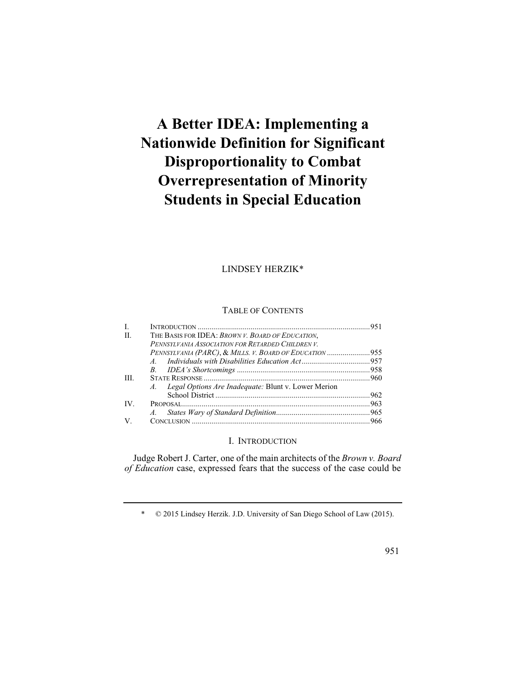# **A Better IDEA: Implementing a Nationwide Definition for Significant Disproportionality to Combat Overrepresentation of Minority Students in Special Education**

# LINDSEY HERZIK\*

## TABLE OF CONTENTS

| L   |                                                         |  |
|-----|---------------------------------------------------------|--|
| H.  | THE BASIS FOR IDEA: BROWN V. BOARD OF EDUCATION,        |  |
|     | PENNSYLVANIA ASSOCIATION FOR RETARDED CHILDREN V.       |  |
|     | PENNSYLVANIA (PARC), & MILLS. V. BOARD OF EDUCATION 955 |  |
|     |                                                         |  |
|     |                                                         |  |
| HL. |                                                         |  |
|     | A. Legal Options Are Inadequate: Blunt v. Lower Merion  |  |
|     |                                                         |  |
| IV. |                                                         |  |
|     |                                                         |  |
| V.  |                                                         |  |

## I. INTRODUCTION

Judge Robert J. Carter, one of the main architects of the *Brown v. Board of Education* case, expressed fears that the success of the case could be

\* © 2015 Lindsey Herzik. J.D. University of San Diego School of Law (2015).

951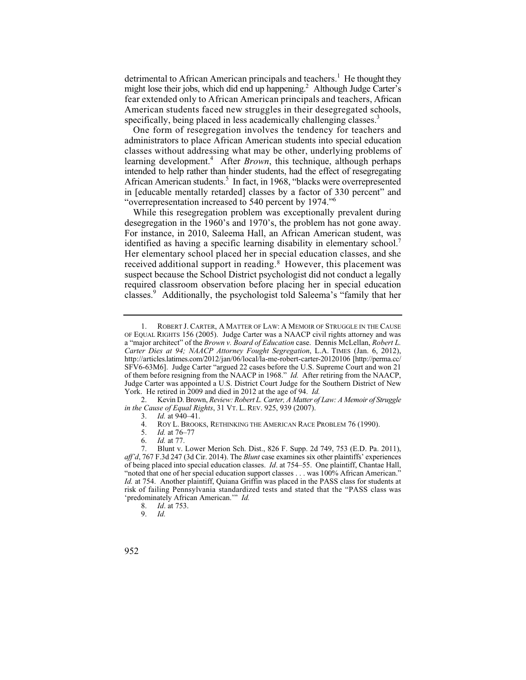detrimental to African American principals and teachers.<sup>1</sup> He thought they might lose their jobs, which did end up happening.<sup>2</sup> Although Judge Carter's fear extended only to African American principals and teachers, African American students faced new struggles in their desegregated schools, specifically, being placed in less academically challenging classes.<sup>3</sup>

 classes without addressing what may be other, underlying problems of One form of resegregation involves the tendency for teachers and administrators to place African American students into special education learning development.<sup>4</sup> After *Brown*, this technique, although perhaps intended to help rather than hinder students, had the effect of resegregating African American students.<sup>5</sup> In fact, in 1968, "blacks were overrepresented in [educable mentally retarded] classes by a factor of 330 percent" and "overrepresentation increased to 540 percent by 1974."6

desegregation in the 1960's and 1970's, the problem has not gone away. Her elementary school placed her in special education classes, and she received additional support in reading.<sup>8</sup> However, this placement was While this resegregation problem was exceptionally prevalent during For instance, in 2010, Saleema Hall, an African American student, was identified as having a specific learning disability in elementary school.<sup>7</sup> suspect because the School District psychologist did not conduct a legally required classroom observation before placing her in special education classes.<sup>9</sup> Additionally, the psychologist told Saleema's "family that her

 2. Kevin D. Brown, *Review: Robert L. Carter, A Matter of Law: A Memoir of Struggle in the Cause of Equal Rights*, 31 VT. L. REV. 925, 939 (2007).

- ROY L. BROOKS, RETHINKING THE AMERICAN RACE PROBLEM 76 (1990).
- 5. *Id.* at 76–77
- 6. *Id.* at 77.

- 8. *Id*. at 753.
- 9. *Id.*
- 952

<sup>1.</sup> ROBERT J. CARTER, A MATTER OF LAW: A MEMOIR OF STRUGGLE IN THE CAUSE OF EQUAL RIGHTS 156 (2005). Judge Carter was a NAACP civil rights attorney and was a "major architect" of the *Brown v. Board of Education* case. Dennis McLellan, *Robert L. Carter Dies at 94; NAACP Attorney Fought Segregation*, L.A. TIMES (Jan. 6, 2012), http://articles.latimes.com/2012/jan/06/local/la-me-robert-carter-20120106 [http://perma.cc/ SFV6-63M6]. Judge Carter "argued 22 cases before the U.S. Supreme Court and won 21 of them before resigning from the NAACP in 1968." *Id.* After retiring from the NAACP, Judge Carter was appointed a U.S. District Court Judge for the Southern District of New York. He retired in 2009 and died in 2012 at the age of 94. *Id.*

<sup>3.</sup> *Id.* at 940–41.<br>4. ROY L. BROOK

 risk of failing Pennsylvania standardized tests and stated that the "PASS class was 7. Blunt v. Lower Merion Sch. Dist., 826 F. Supp. 2d 749, 753 (E.D. Pa. 2011), *aff'd*, 767 F.3d 247 (3d Cir. 2014). The *Blunt* case examines six other plaintiffs' experiences of being placed into special education classes. *Id*. at 754–55. One plaintiff, Chantae Hall, "noted that one of her special education support classes . . . was 100% African American." *Id.* at 754. Another plaintiff, Quiana Griffin was placed in the PASS class for students at 'predominately African American.'" *Id.*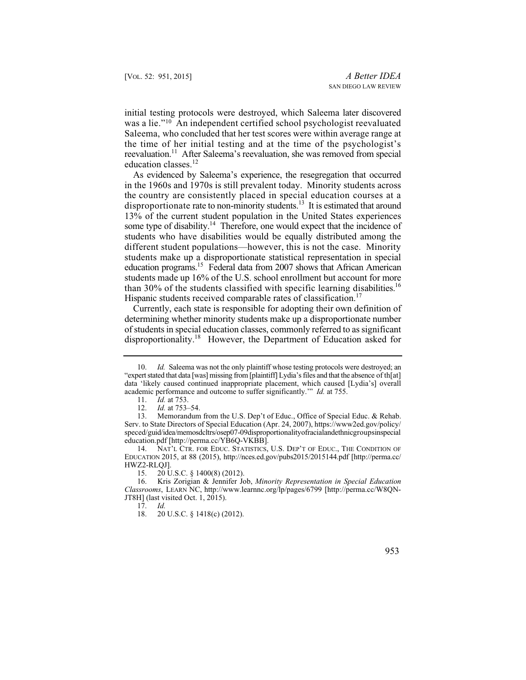initial testing protocols were destroyed, which Saleema later discovered was a lie."10 An independent certified school psychologist reevaluated reevaluation.<sup>11</sup> After Saleema's reevaluation, she was removed from special Saleema, who concluded that her test scores were within average range at the time of her initial testing and at the time of the psychologist's education classes.<sup>12</sup>

 in the 1960s and 1970s is still prevalent today. Minority students across than 30% of the students classified with specific learning disabilities.<sup>16</sup> As evidenced by Saleema's experience, the resegregation that occurred the country are consistently placed in special education courses at a disproportionate rate to non-minority students.<sup>13</sup> It is estimated that around 13% of the current student population in the United States experiences some type of disability.<sup>14</sup> Therefore, one would expect that the incidence of students who have disabilities would be equally distributed among the different student populations—however, this is not the case. Minority students make up a disproportionate statistical representation in special education programs.15 Federal data from 2007 shows that African American students made up 16% of the U.S. school enrollment but account for more Hispanic students received comparable rates of classification.<sup>17</sup>

Currently, each state is responsible for adopting their own definition of determining whether minority students make up a disproportionate number of students in special education classes, commonly referred to as significant disproportionality.<sup>18</sup> However, the Department of Education asked for

17. *Id.* 

953

 "expert stated that data [was] missing from [plaintiff] Lydia's files and that the absence of th[at] academic performance and outcome to suffer significantly.'" *Id.* at 755. 10. *Id.* Saleema was not the only plaintiff whose testing protocols were destroyed; an data 'likely caused continued inappropriate placement, which caused [Lydia's] overall

<sup>11.</sup> *Id.* at 753.<br>12. *Id.* at 753-

<sup>12.</sup> *Id.* at 753–54.<br>13. Memorandum

Memorandum from the U.S. Dep't of Educ., Office of Special Educ. & Rehab. Serv. to State Directors of Special Education (Apr. 24, 2007), https://www2ed.gov/policy/ speced/guid/idea/memosdcltrs/osep07-09disproportionalityofracialandethnicgroupsinspecial education.pdf [http://perma.cc/YB6Q-VKBB].

<sup>14.</sup> NAT'L CTR. FOR EDUC. STATISTICS, U.S. DEP'T OF EDUC., THE CONDITION OF EDUCATION 2015, at 88 (2015), http://nces.ed.gov/pubs2015/2015144.pdf [http://perma.cc/ HWZ2-RLQJ].<br>15. 20 U

 $20 \text{ U.S.C. }$  § 1400(8) (2012).

<sup>16.</sup> Kris Zorigian & Jennifer Job, *Minority Representation in Special Education Classrooms*, LEARN NC, http://www.learnnc.org/lp/pages/6799 [http://perma.cc/W8QN-JT8H] (last visited Oct. 1, 2015).<br>17.  $Id$ .

<sup>20</sup> U.S.C. § 1418(c) (2012).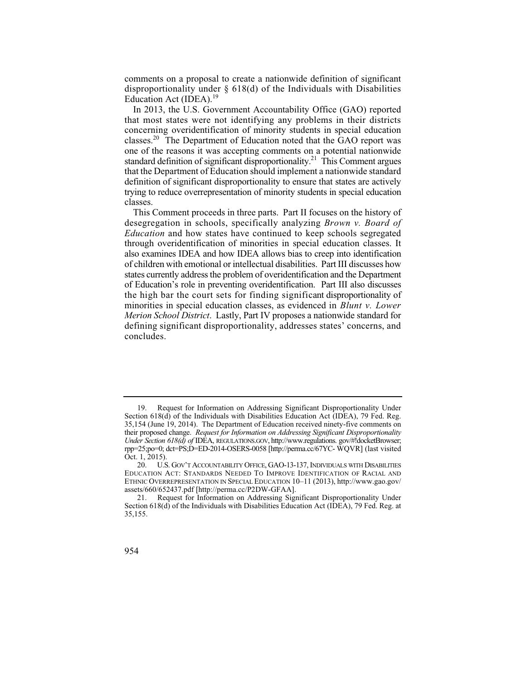comments on a proposal to create a nationwide definition of significant disproportionality under § 618(d) of the Individuals with Disabilities Education Act (IDEA).<sup>19</sup>

In 2013, the U.S. Government Accountability Office (GAO) reported that most states were not identifying any problems in their districts concerning overidentification of minority students in special education classes.<sup>20</sup> The Department of Education noted that the  $\rm{GAO}$  report was one of the reasons it was accepting comments on a potential nationwide standard definition of significant disproportionality.<sup>21</sup> This Comment argues that the Department of Education should implement a nationwide standard definition of significant disproportionality to ensure that states are actively trying to reduce overrepresentation of minority students in special education classes.

 *Education* and how states have continued to keep schools segregated the high bar the court sets for finding significant disproportionality of This Comment proceeds in three parts. Part II focuses on the history of desegregation in schools, specifically analyzing *Brown v. Board of*  through overidentification of minorities in special education classes. It also examines IDEA and how IDEA allows bias to creep into identification of children with emotional or intellectual disabilities. Part III discusses how states currently address the problem of overidentification and the Department of Education's role in preventing overidentification. Part III also discusses minorities in special education classes, as evidenced in *Blunt v. Lower Merion School District*. Lastly, Part IV proposes a nationwide standard for defining significant disproportionality, addresses states' concerns, and concludes.

 rpp=25;po=0; dct=PS;D=ED-2014-OSERS-0058 [http://perma.cc/67YC- WQVR] (last visited 19. Request for Information on Addressing Significant Disproportionality Under Section 618(d) of the Individuals with Disabilities Education Act (IDEA), 79 Fed. Reg. 35,154 (June 19, 2014). The Department of Education received ninety-five comments on their proposed change. *Request for Information on Addressing Significant Disproportionality Under Section 618(d) of* IDEA, REGULATIONS.GOV, http://www.regulations. gov/#!docketBrowser; Oct. 1, 2015).

<sup>20.</sup> U.S. GOV'T ACCOUNTABILITY OFFICE, GAO-13-137, INDIVIDUALS WITH DISABILITIES EDUCATION ACT: STANDARDS NEEDED TO IMPROVE IDENTIFICATION OF RACIAL AND ETHNIC OVERREPRESENTATION IN SPECIAL EDUCATION 10–11 (2013), http://www.gao.gov/ assets/660/652437.pdf [http://perma.cc/P2DW-GFAA].

<sup>21.</sup> Request for Information on Addressing Significant Disproportionality Under Section 618(d) of the Individuals with Disabilities Education Act (IDEA), 79 Fed. Reg. at 35,155.

<sup>954</sup>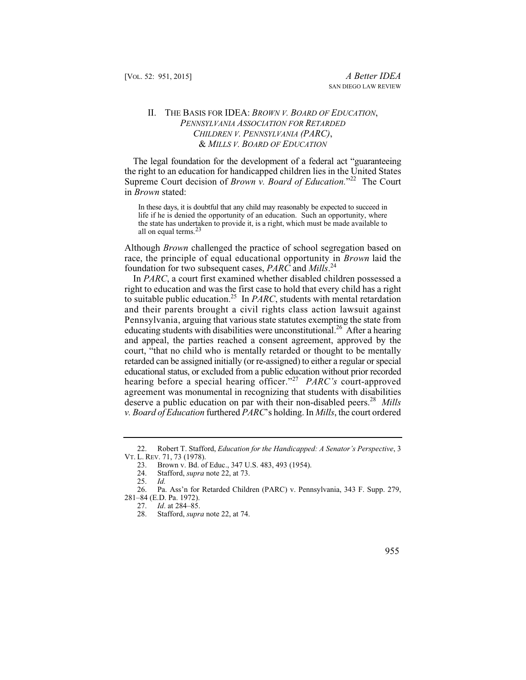## *PENNSYLVANIA ASSOCIATION FOR RETARDED CHILDREN V. PENNSYLVANIA (PARC)*, II. THE BASIS FOR IDEA: *BROWN V. BOARD OF EDUCATION*, & *MILLS V. BOARD OF EDUCATION*

The legal foundation for the development of a federal act "guaranteeing the right to an education for handicapped children lies in the United States Supreme Court decision of *Brown v. Board of Education*."<sup>22</sup> The Court in *Brown* stated:

 In these days, it is doubtful that any child may reasonably be expected to succeed in life if he is denied the opportunity of an education. Such an opportunity, where the state has undertaken to provide it, is a right, which must be made available to all on equal terms.<sup>23</sup>

Although *Brown* challenged the practice of school segregation based on race, the principle of equal educational opportunity in *Brown* laid the foundation for two subsequent cases, *PARC* and *Mills*. 24

 *v. Board of Education* furthered *PARC*'s holding. In *Mills*, the court ordered In *PARC*, a court first examined whether disabled children possessed a right to education and was the first case to hold that every child has a right to suitable public education.25 In *PARC*, students with mental retardation and their parents brought a civil rights class action lawsuit against Pennsylvania, arguing that various state statutes exempting the state from educating students with disabilities were unconstitutional.<sup>26</sup> After a hearing and appeal, the parties reached a consent agreement, approved by the court, "that no child who is mentally retarded or thought to be mentally retarded can be assigned initially (or re-assigned) to either a regular or special educational status, or excluded from a public education without prior recorded hearing before a special hearing officer."<sup>27</sup> PARC's court-approved agreement was monumental in recognizing that students with disabilities deserve a public education on par with their non-disabled peers.<sup>28</sup> *Mills* 

Stafford, *supra* note 22, at 74.



 <sup>22.</sup> Robert T. Stafford, *Education for the Handicapped: A Senator's Perspective*, 3 VT. L. REV. 71, 73 (1978).

<sup>23.</sup> Brown v. Bd. of Educ., 347 U.S. 483, 493 (1954).<br>24. Stafford. *supra* note 22. at 73.

Stafford, *supra* note 22, at 73.

<sup>25.</sup> *Id.* 

<sup>26.</sup> Pa. Ass'n for Retarded Children (PARC) v. Pennsylvania, 343 F. Supp. 279, 281–84 (E.D. Pa. 1972).

<sup>27.</sup> *Id*. at 284–85.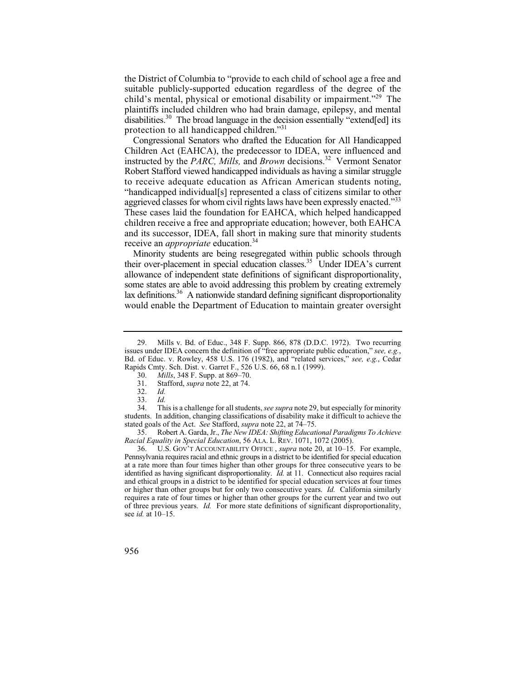the District of Columbia to "provide to each child of school age a free and suitable publicly-supported education regardless of the degree of the child's mental, physical or emotional disability or impairment."29 The plaintiffs included children who had brain damage, epilepsy, and mental  $\overline{d}$  disabilities.<sup>30</sup> The broad language in the decision essentially "extend [ed] its protection to all handicapped children."31

 "handicapped individual[s] represented a class of citizens similar to other Congressional Senators who drafted the Education for All Handicapped Children Act (EAHCA), the predecessor to IDEA, were influenced and instructed by the *PARC, Mills*, and *Brown* decisions.<sup>32</sup> Vermont Senator Robert Stafford viewed handicapped individuals as having a similar struggle to receive adequate education as African American students noting, aggrieved classes for whom civil rights laws have been expressly enacted."<sup>33</sup> These cases laid the foundation for EAHCA, which helped handicapped children receive a free and appropriate education; however, both EAHCA and its successor, IDEA, fall short in making sure that minority students receive an *appropriate* education.34

Minority students are being resegregated within public schools through their over-placement in special education classes.<sup>35</sup> Under IDEA's current allowance of independent state definitions of significant disproportionality, some states are able to avoid addressing this problem by creating extremely lax definitions. $36$  A nationwide standard defining significant disproportionality would enable the Department of Education to maintain greater oversight

<sup>29.</sup> Mills v. Bd. of Educ., 348 F. Supp. 866, 878 (D.D.C. 1972). Two recurring issues under IDEA concern the definition of "free appropriate public education," *see, e.g.*, Bd. of Educ. v. Rowley, 458 U.S. 176 (1982), and "related services," *see, e.g.*, Cedar Rapids Cmty. Sch. Dist. v. Garret F., 526 U.S. 66, 68 n.1 (1999).

<sup>30.</sup> *Mills*, 348 F. Supp. at 869–70.<br>31. Stafford, *supra* note 22, at 74.

Stafford, *supra* note 22, at 74.

<sup>32.</sup> *Id.*

 <sup>33.</sup> *Id.* 

<sup>34.</sup> This is a challenge for all students, *see supra* note 29, but especially for minority students. In addition, changing classifications of disability make it difficult to achieve the stated goals of the Act. *See* Stafford, *supra* note 22, at 74–75.

<sup>35.</sup> Robert A. Garda, Jr., *The New IDEA: Shifting Educational Paradigms To Achieve Racial Equality in Special Education*, 56 ALA. L. REV. 1071, 1072 (2005).

U.S. GOV'T ACCOUNTABILITY OFFICE, *supra* note 20, at 10–15. For example, Pennsylvania requires racial and ethnic groups in a district to be identified for special education at a rate more than four times higher than other groups for three consecutive years to be identified as having significant disproportionality. *Id.* at 11. Connecticut also requires racial and ethical groups in a district to be identified for special education services at four times or higher than other groups but for only two consecutive years. *Id.* California similarly requires a rate of four times or higher than other groups for the current year and two out of three previous years. *Id.* For more state definitions of significant disproportionality, see *id.* at 10–15.

<sup>956</sup>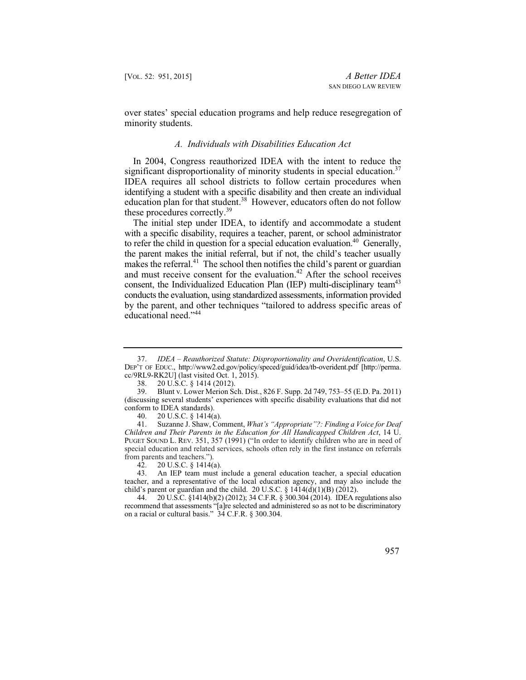over states' special education programs and help reduce resegregation of minority students.

#### *A. Individuals with Disabilities Education Act*

In 2004, Congress reauthorized IDEA with the intent to reduce the significant disproportionality of minority students in special education.<sup>37</sup> IDEA requires all school districts to follow certain procedures when identifying a student with a specific disability and then create an individual education plan for that student.<sup>38</sup> However, educators often do not follow these procedures correctly.<sup>39</sup>

to refer the child in question for a special education evaluation.<sup>40</sup> Generally, The initial step under IDEA, to identify and accommodate a student with a specific disability, requires a teacher, parent, or school administrator the parent makes the initial referral, but if not, the child's teacher usually makes the referral.<sup>41</sup> The school then notifies the child's parent or guardian and must receive consent for the evaluation.<sup>42</sup> After the school receives consent, the Individualized Education Plan (IEP) multi-disciplinary team<sup>43</sup> conducts the evaluation, using standardized assessments, information provided by the parent, and other techniques "tailored to address specific areas of educational need."<sup>44</sup>

 special education and related services, schools often rely in the first instance on referrals Suzanne J. Shaw, Comment, *What's "Appropriate"?: Finding a Voice for Deaf Children and Their Parents in the Education for All Handicapped Children Act*, 14 U. PUGET SOUND L. REV. 351, 357 (1991) ("In order to identify children who are in need of from parents and teachers.").<br>42.  $20$  U.S.C. § 1414(

20 U.S.C.  $\S$  1414(a).

43. An IEP team must include a general education teacher, a special education teacher, and a representative of the local education agency, and may also include the child's parent or guardian and the child. 20 U.S.C. §  $1414(d)(1)(B)$  (2012).

957

 <sup>37.</sup> *IDEA – Reauthorized Statute: Disproportionality and Overidentification*, U.S. DEP'T OF EDUC., http://www2.ed.gov/policy/speced/guid/idea/tb-overident.pdf [http://perma. cc/9RL9-RK2U] (last visited Oct. 1, 2015).

<sup>38. 20</sup> U.S.C. § 1414 (2012).

<sup>39.</sup> Blunt v. Lower Merion Sch. Dist., 826 F. Supp. 2d 749, 753–55 (E.D. Pa. 2011) (discussing several students' experiences with specific disability evaluations that did not conform to IDEA standards).

<sup>40. 20</sup> U.S.C. § 1414(a).<br>41. Suzanne J. Shaw. Co.

<sup>44. 20</sup> U.S.C. §1414(b)(2) (2012); 34 C.F.R. § 300.304 (2014). IDEA regulations also recommend that assessments "[a]re selected and administered so as not to be discriminatory on a racial or cultural basis." 34 C.F.R. § 300.304.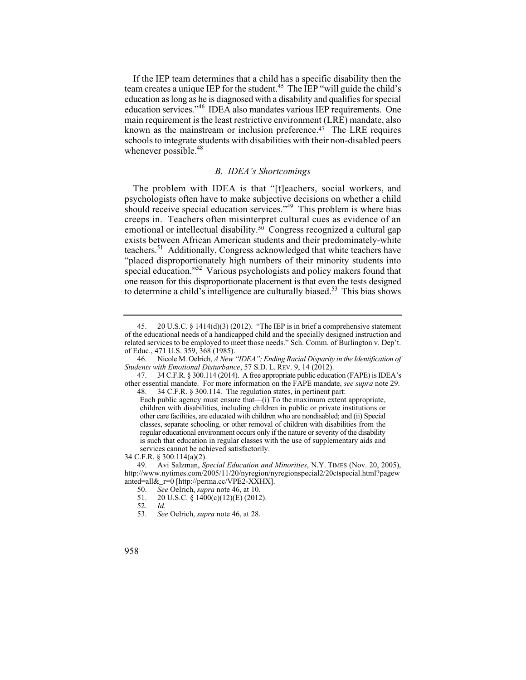education as long as he is diagnosed with a disability and qualifies for special If the IEP team determines that a child has a specific disability then the team creates a unique IEP for the student.<sup>45</sup> The IEP "will guide the child's education services."46 IDEA also mandates various IEP requirements. One main requirement is the least restrictive environment (LRE) mandate, also known as the mainstream or inclusion preference.<sup>47</sup> The LRE requires schools to integrate students with disabilities with their non-disabled peers whenever possible.<sup>48</sup>

#### *B. IDEA's Shortcomings*

 The problem with IDEA is that "[t]eachers, social workers, and teachers.<sup>51</sup> Additionally, Congress acknowledged that white teachers have psychologists often have to make subjective decisions on whether a child should receive special education services.<sup>"49</sup> This problem is where bias creeps in. Teachers often misinterpret cultural cues as evidence of an emotional or intellectual disability.<sup>50</sup> Congress recognized a cultural gap exists between African American students and their predominately-white "placed disproportionately high numbers of their minority students into special education."52 Various psychologists and policy makers found that one reason for this disproportionate placement is that even the tests designed to determine a child's intelligence are culturally biased.<sup>53</sup> This bias shows

34 C.F.R. § 300.114(a)(2).

<sup>45. 20</sup> U.S.C.  $\S$  1414(d)(3) (2012). "The IEP is in brief a comprehensive statement of the educational needs of a handicapped child and the specially designed instruction and related services to be employed to meet those needs." Sch. Comm. of Burlington v. Dep't. of Educ., 471 U.S. 359, 368 (1985).

<sup>46.</sup> Nicole M. Oelrich, *A New "IDEA": Ending Racial Disparity in the Identification of Students with Emotional Disturbance*, 57 S.D. L. REV. 9, 14 (2012).

<sup>47. 34</sup> C.F.R. § 300.114 (2014). A free appropriate public education (FAPE) is IDEA's other essential mandate. For more information on the FAPE mandate, *see supra* note 29. 48. 34 C.F.R. § 300.114. The regulation states, in pertinent part:

 classes, separate schooling, or other removal of children with disabilities from the is such that education in regular classes with the use of supplementary aids and Each public agency must ensure that—(i) To the maximum extent appropriate, children with disabilities, including children in public or private institutions or other care facilities, are educated with children who are nondisabled; and (ii) Special regular educational environment occurs only if the nature or severity of the disability services cannot be achieved satisfactorily.

<sup>49.</sup> Avi Salzman, *Special Education and Minorities*, N.Y. TIMES (Nov. 20, 2005), http://www.nytimes.com/2005/11/20/nyregion/nyregionspecial2/20ctspecial.html?pagew anted=all&\_r=0 [http://perma.cc/VPE2-XXHX].<br>50. See Oelrich. supra note 46. at 10.

<sup>50.</sup> *See* Oelrich, *supra* note 46, at 10.

<sup>20</sup> U.S.C. § 1400(c)(12)(E) (2012).<br>Id.

<sup>52.</sup> *Id.* 

<sup>53.</sup> *See* Oelrich, *supra* note 46, at 28.

<sup>958</sup>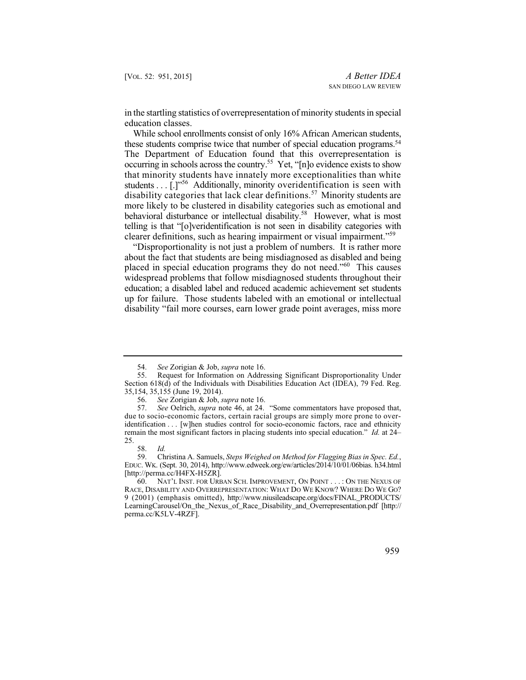in the startling statistics of overrepresentation of minority students in special education classes.

occurring in schools across the country.<sup>55</sup> Yet, "[n]o evidence exists to show students  $\dots$  [.]<sup>"56</sup> Additionally, minority overidentification is seen with While school enrollments consist of only 16% African American students, these students comprise twice that number of special education programs.<sup>54</sup> The Department of Education found that this overrepresentation is that minority students have innately more exceptionalities than white disability categories that lack clear definitions.<sup>57</sup> Minority students are more likely to be clustered in disability categories such as emotional and behavioral disturbance or intellectual disability.<sup>58</sup> However, what is most telling is that "[o]veridentification is not seen in disability categories with clearer definitions, such as hearing impairment or visual impairment."<sup>59</sup>

"Disproportionality is not just a problem of numbers. It is rather more about the fact that students are being misdiagnosed as disabled and being placed in special education programs they do not need."60 This causes widespread problems that follow misdiagnosed students throughout their education; a disabled label and reduced academic achievement set students up for failure. Those students labeled with an emotional or intellectual disability "fail more courses, earn lower grade point averages, miss more

59. Christina A. Samuels, *Steps Weighed on Method for Flagging Bias in Spec. Ed.*, EDUC. WK. (Sept. 30, 2014), http://www.edweek.org/ew/articles/2014/10/01/06bias. h34.html [http://perma.cc/H4FX-H5ZR].

60. NAT'L INST. FOR URBAN SCH. IMPROVEMENT, ON POINT . . . : ON THE NEXUS OF RACE, DISABILITY AND OVERREPRESENTATION: WHAT DO WE KNOW? WHERE DO WE GO? 9 (2001) (emphasis omitted), http://www.niusileadscape.org/docs/FINAL\_PRODUCTS/ LearningCarousel/On\_the\_Nexus\_of\_Race\_Disability\_and\_Overrepresentation.pdf [http:// perma.cc/K5LV-4RZF].



<sup>54.</sup> *See* Zorigian & Job, *supra* note 16.

<sup>55.</sup> Request for Information on Addressing Significant Disproportionality Under Section 618(d) of the Individuals with Disabilities Education Act (IDEA), 79 Fed. Reg. 35,154, 35,155 (June 19, 2014).

<sup>56.</sup> *See* Zorigian & Job, *supra* note 16.

<sup>57.</sup> *See* Oelrich, *supra* note 46, at 24. "Some commentators have proposed that, due to socio-economic factors, certain racial groups are simply more prone to overidentification . . . [w]hen studies control for socio-economic factors, race and ethnicity remain the most significant factors in placing students into special education." *Id.* at 24– 25.

 <sup>58.</sup> *Id.*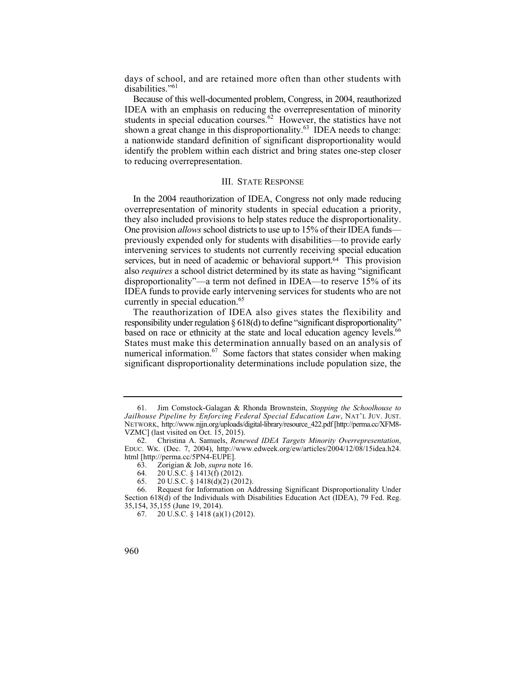days of school, and are retained more often than other students with disabilities."<sup>61</sup>

Because of this well-documented problem, Congress, in 2004, reauthorized IDEA with an emphasis on reducing the overrepresentation of minority students in special education courses.<sup>62</sup> However, the statistics have not shown a great change in this disproportionality.<sup>63</sup> IDEA needs to change: a nationwide standard definition of significant disproportionality would identify the problem within each district and bring states one-step closer to reducing overrepresentation.

## III. STATE RESPONSE

they also included provisions to help states reduce the disproportionality. intervening services to students not currently receiving special education In the 2004 reauthorization of IDEA, Congress not only made reducing overrepresentation of minority students in special education a priority, One provision *allows* school districts to use up to 15% of their IDEA funds previously expended only for students with disabilities—to provide early services, but in need of academic or behavioral support.<sup>64</sup> This provision also *requires* a school district determined by its state as having "significant disproportionality"—a term not defined in IDEA—to reserve 15% of its IDEA funds to provide early intervening services for students who are not currently in special education.<sup>65</sup>

The reauthorization of IDEA also gives states the flexibility and responsibility under regulation § 618(d) to define "significant disproportionality" based on race or ethnicity at the state and local education agency levels.<sup>66</sup> States must make this determination annually based on an analysis of numerical information.<sup>67</sup> Some factors that states consider when making significant disproportionality determinations include population size, the

<sup>61.</sup> Jim Comstock-Galagan & Rhonda Brownstein, *Stopping the Schoolhouse to Jailhouse Pipeline by Enforcing Federal Special Education Law*, NAT'L JUV. JUST. NETWORK, http://www.njjn.org/uploads/digital-library/resource\_422.pdf [http://perma.cc/XFM8 VZMC] (last visited on Oct. 15, 2015).

<sup>62.</sup> Christina A. Samuels, *Renewed IDEA Targets Minority Overrepresentation*, EDUC. WK. (Dec. 7, 2004), http://www.edweek.org/ew/articles/2004/12/08/15idea.h24. html [http://perma.cc/5PN4-EUPE].

<sup>63.</sup> Zorigian & Job, *supra* note 16.

<sup>20</sup> U.S.C. § 1413(f) (2012).

<sup>65. 20</sup> U.S.C. § 1418(d)(2) (2012).

<sup>66.</sup> Request for Information on Addressing Significant Disproportionality Under Section 618(d) of the Individuals with Disabilities Education Act (IDEA), 79 Fed. Reg. 35,154, 35,155 (June 19, 2014).

<sup>67. 20</sup> U.S.C. § 1418 (a)(1) (2012).

<sup>960</sup>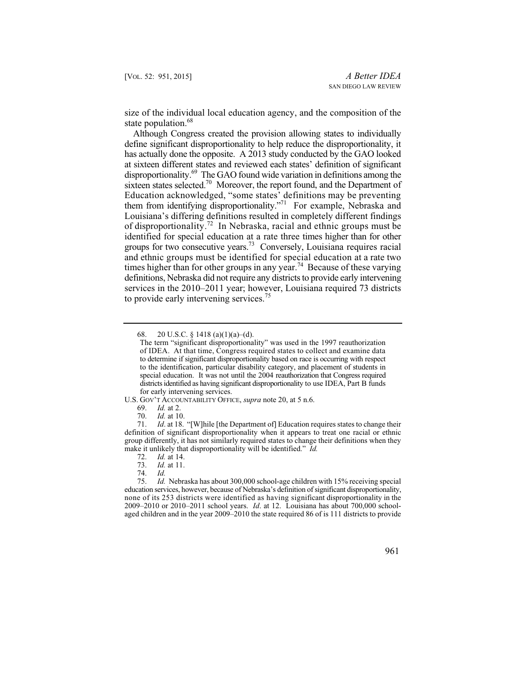size of the individual local education agency, and the composition of the state population.<sup>68</sup>

 define significant disproportionality to help reduce the disproportionality, it of disproportionality.<sup>72</sup> In Nebraska, racial and ethnic groups must be identified for special education at a rate three times higher than for other and ethnic groups must be identified for special education at a rate two Although Congress created the provision allowing states to individually has actually done the opposite. A 2013 study conducted by the GAO looked at sixteen different states and reviewed each states' definition of significant disproportionality.<sup>69</sup> The GAO found wide variation in definitions among the sixteen states selected.<sup>70</sup> Moreover, the report found, and the Department of Education acknowledged, "some states' definitions may be preventing them from identifying disproportionality."<sup>71</sup> For example, Nebraska and Louisiana's differing definitions resulted in completely different findings groups for two consecutive years.73 Conversely, Louisiana requires racial times higher than for other groups in any year.<sup>74</sup> Because of these varying definitions, Nebraska did not require any districts to provide early intervening services in the 2010–2011 year; however, Louisiana required 73 districts to provide early intervening services.<sup>75</sup>

U.S. GOV'T ACCOUNTABILITY OFFICE, *supra* note 20, at 5 n.6.

 none of its 253 districts were identified as having significant disproportionality in the 75. *Id.* Nebraska has about 300,000 school-age children with 15% receiving special education services, however, because of Nebraska's definition of significant disproportionality, 2009–2010 or 2010–2011 school years. *Id*. at 12. Louisiana has about 700,000 schoolaged children and in the year 2009–2010 the state required 86 of is 111 districts to provide



<sup>68.</sup>  $20 \text{ U.S.C. }$ § 1418 (a)(1)(a)–(d).

 to the identification, particular disability category, and placement of students in special education. It was not until the 2004 reauthorization that Congress required districts identified as having significant disproportionality to use IDEA, Part B funds The term "significant disproportionality" was used in the 1997 reauthorization of IDEA. At that time, Congress required states to collect and examine data to determine if significant disproportionality based on race is occurring with respect for early intervening services.

<sup>69.</sup> *Id.* at 2.

<sup>70.</sup> *Id.* at 10.

*Id.* at 18. "[W]hile [the Department of] Education requires states to change their definition of significant disproportionality when it appears to treat one racial or ethnic group differently, it has not similarly required states to change their definitions when they make it unlikely that disproportionality will be identified." *Id.*

 <sup>72.</sup> *Id.* at 14.

<sup>73.</sup> *Id.* at 11.

<sup>74.</sup> *Id.*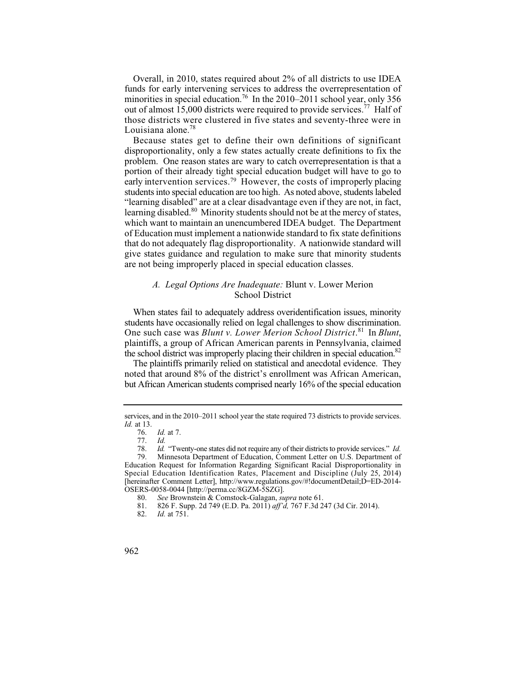Overall, in 2010, states required about 2% of all districts to use IDEA funds for early intervening services to address the overrepresentation of minorities in special education.<sup>76</sup> In the 2010–2011 school year, only 356 out of almost 15,000 districts were required to provide services.<sup>77</sup> Half of those districts were clustered in five states and seventy-three were in Louisiana alone. $78$ 

early intervention services.<sup>79</sup> However, the costs of improperly placing Because states get to define their own definitions of significant disproportionality, only a few states actually create definitions to fix the problem. One reason states are wary to catch overrepresentation is that a portion of their already tight special education budget will have to go to students into special education are too high. As noted above, students labeled "learning disabled" are at a clear disadvantage even if they are not, in fact, learning disabled.<sup>80</sup> Minority students should not be at the mercy of states, which want to maintain an unencumbered IDEA budget. The Department of Education must implement a nationwide standard to fix state definitions that do not adequately flag disproportionality. A nationwide standard will give states guidance and regulation to make sure that minority students are not being improperly placed in special education classes.

## *A. Legal Options Are Inadequate:* Blunt v. Lower Merion School District

When states fail to adequately address overidentification issues, minority students have occasionally relied on legal challenges to show discrimination. One such case was *Blunt v. Lower Merion School District*. 81 In *Blunt*, plaintiffs, a group of African American parents in Pennsylvania, claimed the school district was improperly placing their children in special education.<sup>82</sup>

The plaintiffs primarily relied on statistical and anecdotal evidence. They noted that around 8% of the district's enrollment was African American, but African American students comprised nearly 16% of the special education

 services, and in the 2010–2011 school year the state required 73 districts to provide services. *Id.* at 13.

<sup>76.</sup> *Id.* at 7.

<sup>77.</sup> *Id.*

 78. *Id.* "Twenty-one states did not require any of their districts to provide services." *Id.* 

<sup>79.</sup> Minnesota Department of Education, Comment Letter on U.S. Department of Education Request for Information Regarding Significant Racial Disproportionality in Special Education Identification Rates, Placement and Discipline (July 25, 2014) [hereinafter Comment Letter], http://www.regulations.gov/#!documentDetail;D=ED-2014 OSERS-0058-0044 [http://perma.cc/8GZM-5SZG].

<sup>80.</sup> *See* Brownstein & Comstock-Galagan, *supra* note 61.

<sup>81. 826</sup> F. Supp. 2d 749 (E.D. Pa. 2011) *aff'd,* 767 F.3d 247 (3d Cir. 2014).

*Id.* at 751.

<sup>962</sup>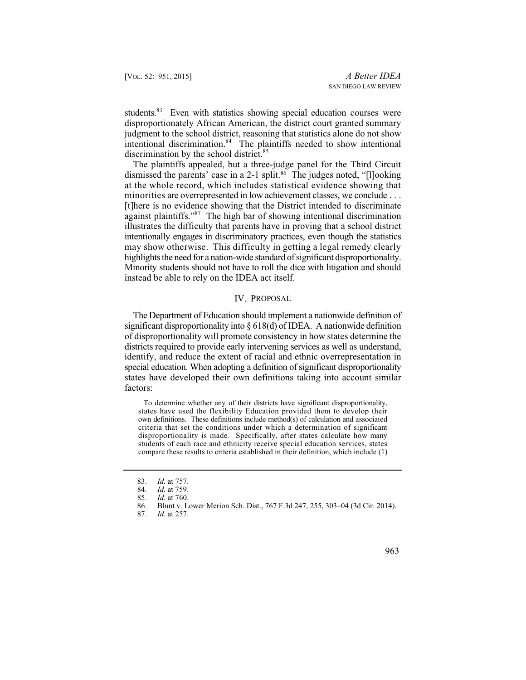students.<sup>83</sup> Even with statistics showing special education courses were disproportionately African American, the district court granted summary judgment to the school district, reasoning that statistics alone do not show intentional discrimination.<sup>84</sup> The plaintiffs needed to show intentional discrimination by the school district.<sup>85</sup>

 minorities are overrepresented in low achievement classes, we conclude . . . Minority students should not have to roll the dice with litigation and should The plaintiffs appealed, but a three-judge panel for the Third Circuit dismissed the parents' case in a 2-1 split.86 The judges noted, "[l]ooking at the whole record, which includes statistical evidence showing that [t]here is no evidence showing that the District intended to discriminate against plaintiffs."87 The high bar of showing intentional discrimination illustrates the difficulty that parents have in proving that a school district intentionally engages in discriminatory practices, even though the statistics may show otherwise. This difficulty in getting a legal remedy clearly highlights the need for a nation-wide standard of significant disproportionality. instead be able to rely on the IDEA act itself.

#### IV. PROPOSAL

 The Department of Education should implement a nationwide definition of significant disproportionality into § 618(d) of IDEA. A nationwide definition of disproportionality will promote consistency in how states determine the districts required to provide early intervening services as well as understand, identify, and reduce the extent of racial and ethnic overrepresentation in special education. When adopting a definition of significant disproportionality states have developed their own definitions taking into account similar factors:

 disproportionality is made. Specifically, after states calculate how many To determine whether any of their districts have significant disproportionality, states have used the flexibility Education provided them to develop their own definitions. These definitions include method(s) of calculation and associated criteria that set the conditions under which a determination of significant students of each race and ethnicity receive special education services, states compare these results to criteria established in their definition, which include (1)

*Id.* at 257.



 <sup>83.</sup> *Id.* at 757.

<sup>84.</sup> *Id.* at 759.<br>85. *Id.* at 760.

<sup>85.</sup> *Id.* at 760.

<sup>86.</sup> Blunt v. Lower Merion Sch. Dist., 767 F.3d 247, 255, 303–04 (3d Cir. 2014).<br>87. Id. at 257.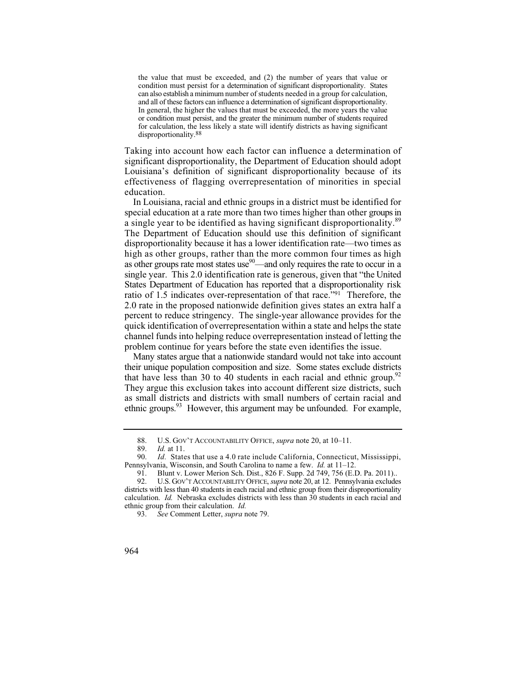condition must persist for a determination of significant disproportionality. States can also establish a minimum number of students needed in a group for calculation, for calculation, the less likely a state will identify districts as having significant the value that must be exceeded, and (2) the number of years that value or and all of these factors can influence a determination of significant disproportionality. In general, the higher the values that must be exceeded, the more years the value or condition must persist, and the greater the minimum number of students required disproportionality.88

 Taking into account how each factor can influence a determination of significant disproportionality, the Department of Education should adopt Louisiana's definition of significant disproportionality because of its effectiveness of flagging overrepresentation of minorities in special education.

 high as other groups, rather than the more common four times as high as other groups rate most states use $90$ —and only requires the rate to occur in a single year. This 2.0 identification rate is generous, given that "the United States Department of Education has reported that a disproportionality risk In Louisiana, racial and ethnic groups in a district must be identified for special education at a rate more than two times higher than other groups in a single year to be identified as having significant disproportionality.<sup>89</sup> The Department of Education should use this definition of significant disproportionality because it has a lower identification rate—two times as ratio of 1.5 indicates over-representation of that race."91 Therefore, the 2.0 rate in the proposed nationwide definition gives states an extra half a percent to reduce stringency. The single-year allowance provides for the quick identification of overrepresentation within a state and helps the state channel funds into helping reduce overrepresentation instead of letting the problem continue for years before the state even identifies the issue.

Many states argue that a nationwide standard would not take into account their unique population composition and size. Some states exclude districts that have less than 30 to 40 students in each racial and ethnic group.<sup>92</sup> They argue this exclusion takes into account different size districts, such as small districts and districts with small numbers of certain racial and ethnic groups.<sup>93</sup> However, this argument may be unfounded. For example,

<sup>88.</sup> U.S. GOV'T ACCOUNTABILITY OFFICE, *supra* note 20, at 10–11.

<sup>89.</sup> *Id.* at 11.

*Id.* States that use a 4.0 rate include California, Connecticut, Mississippi, Pennsylvania, Wisconsin, and South Carolina to name a few. *Id.* at 11–12.

<sup>91.</sup> Blunt v. Lower Merion Sch. Dist., 826 F. Supp. 2d 749, 756 (E.D. Pa. 2011)..

 92. U.S. GOV'T ACCOUNTABILITY OFFICE, *supra* note 20, at 12. Pennsylvania excludes calculation. *Id.* Nebraska excludes districts with less than 30 students in each racial and districts with less than 40 students in each racial and ethnic group from their disproportionality ethnic group from their calculation. *Id.*

 <sup>93.</sup> *See* Comment Letter, *supra* note 79.

<sup>964</sup>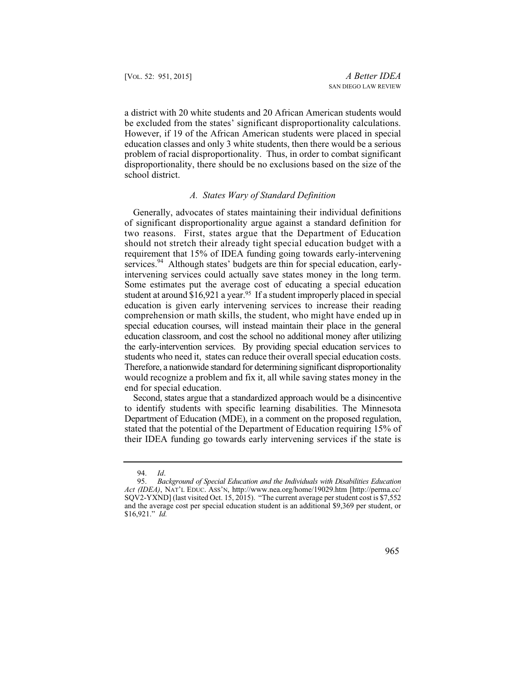be excluded from the states' significant disproportionality calculations. However, if 19 of the African American students were placed in special a district with 20 white students and 20 African American students would education classes and only 3 white students, then there would be a serious problem of racial disproportionality. Thus, in order to combat significant disproportionality, there should be no exclusions based on the size of the school district.

## *A. States Wary of Standard Definition*

intervening services could actually save states money in the long term. comprehension or math skills, the student, who might have ended up in special education courses, will instead maintain their place in the general education classroom, and cost the school no additional money after utilizing students who need it, states can reduce their overall special education costs. Generally, advocates of states maintaining their individual definitions of significant disproportionality argue against a standard definition for two reasons. First, states argue that the Department of Education should not stretch their already tight special education budget with a requirement that 15% of IDEA funding going towards early-intervening services.<sup>94</sup> Although states' budgets are thin for special education, early-Some estimates put the average cost of educating a special education student at around \$16,921 a year.<sup>95</sup> If a student improperly placed in special education is given early intervening services to increase their reading the early-intervention services. By providing special education services to Therefore, a nationwide standard for determining significant disproportionality would recognize a problem and fix it, all while saving states money in the end for special education.

Second, states argue that a standardized approach would be a disincentive to identify students with specific learning disabilities. The Minnesota Department of Education (MDE), in a comment on the proposed regulation, stated that the potential of the Department of Education requiring 15% of their IDEA funding go towards early intervening services if the state is

 <sup>95.</sup> *Background of Special Education and the Individuals with Disabilities Education Act (IDEA)*, NAT'L EDUC. ASS'N, http://www.nea.org/home/19029.htm [http://perma.cc/ SQV2-YXND] (last visited Oct. 15, 2015). "The current average per student cost is \$7,552 and the average cost per special education student is an additional \$9,369 per student, or \$16,921." *Id.* 



 <sup>94.</sup> *Id*.